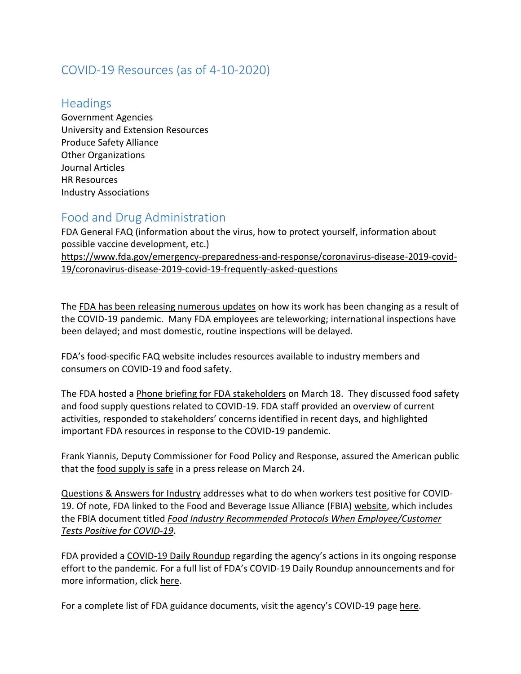# COVID-19 Resources (as of 4-10-2020)

#### **Headings**

Government Agencies University and Extension Resources Produce Safety Alliance Other Organizations Journal Articles HR Resources Industry Associations

## Food and Drug Administration

FDA General FAQ (information about the virus, how to protect yourself, information about possible vaccine development, etc.) [https://www.fda.gov/emergency-preparedness-and-response/coronavirus-disease-2019-covid-](https://www.fda.gov/emergency-preparedness-and-response/coronavirus-disease-2019-covid-19/coronavirus-disease-2019-covid-19-frequently-asked-questions)[19/coronavirus-disease-2019-covid-19-frequently-asked-questions](https://www.fda.gov/emergency-preparedness-and-response/coronavirus-disease-2019-covid-19/coronavirus-disease-2019-covid-19-frequently-asked-questions)

The [FDA has been releasing numerous updates](https://www.fda.gov/news-events/press-announcements/coronavirus-covid-19-update-fda-focuses-safety-regulated-products-while-scaling-back-domestic?utm_campaign=031820_PR_Coronavirus%20%28COVID-19%29%20Update%3A%20FDA%20Focuses%20on%20Safety%20of%20Regulated%20Products&utm_medium=email&utm_source=Eloqua) on how its work has been changing as a result of the COVID-19 pandemic. Many FDA employees are teleworking; international inspections have been delayed; and most domestic, routine inspections will be delayed.

FDA's [food-specific FAQ website](https://www.fda.gov/food/food-safety-during-emergencies/food-safety-and-coronavirus-disease-2019-covid-19) includes resources available to industry members and consumers on COVID-19 and food safety.

The FDA hosted a [Phone briefing for FDA stakeholders](https://www.fda.gov/food/workshops-meetings-webinars-food-and-dietary-supplements/fda-briefing-foods-stakeholders-coronavirus-disease-2019-covid-19-03182020-03182020) on March 18. They discussed food safety and food supply questions related to COVID-19. FDA staff provided an overview of current activities, responded to stakeholders' concerns identified in recent days, and highlighted important FDA resources in response to the COVID-19 pandemic.

Frank Yiannis, Deputy Commissioner for Food Policy and Response, assured the American public that the [food supply is safe](https://www.fda.gov/news-events/fda-voices-perspectives-fda-leadership-and-experts/fda-offers-assurance-about-food-safety-and-supply-people-and-animals-during-covid-19?utm_campaign=FDA%20Offers%20Assurance%20About%20Food%20Safety%20and%20Supply%20for%20People%20and%20Animals%20During%20COVID-19&utm_medium=email&utm_source=Eloqua) in a press release on March 24.

[Questions & Answers for Industry](https://www.fda.gov/food/food-safety-during-emergencies/food-safety-and-coronavirus-disease-2019-covid-19) addresses what to do when workers test positive for COVID-19. Of note, FDA linked to the Food and Beverage Issue Alliance (FBIA) [website,](https://www.feedingus.org/) which includes the FBIA document titled *[Food Industry Recommended Protocols When Employee/Customer](https://static1.squarespace.com/static/5e7d1107dac60a6b3e3f098d/t/5e851fde29f7892bc04e02a5/1585782751824/FBIA+COVID19%2BCase+Recommended+Protocols_1April20+Version+4.pdf)  [Tests Positive for COVID-19](https://static1.squarespace.com/static/5e7d1107dac60a6b3e3f098d/t/5e851fde29f7892bc04e02a5/1585782751824/FBIA+COVID19%2BCase+Recommended+Protocols_1April20+Version+4.pdf)*.

FDA provided a [COVID-19 Daily Roundup](https://www.fda.gov/news-events/press-announcements/coronavirus-covid-19-update-daily-roundup-april-2-2020) regarding the agency's actions in its ongoing response effort to the pandemic. For a full list of FDA's COVID-19 Daily Roundup announcements and for more information, click [here.](https://www.fda.gov/emergency-preparedness-and-response/counterterrorism-and-emerging-threats/coronavirus-disease-2019-covid-19)

For a complete list of FDA guidance documents, visit the agency's COVID-19 pag[e here.](https://www.fda.gov/emergency-preparedness-and-response/mcm-issues/coronavirus-disease-2019-covid-19)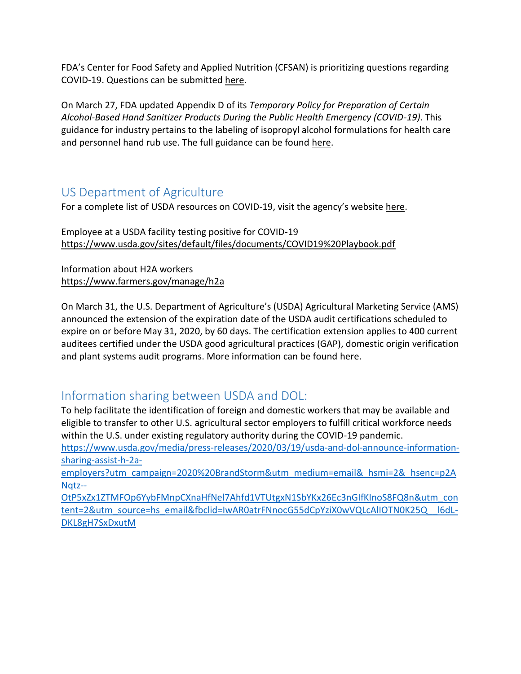FDA's Center for Food Safety and Applied Nutrition (CFSAN) is prioritizing questions regarding COVID-19. Questions can be submitted [here.](https://www.fda.gov/food/resources-you-food/industry-and-consumer-assistance-cfsan)

On March 27, FDA updated Appendix D of its *Temporary Policy for Preparation of Certain Alcohol-Based Hand Sanitizer Products During the Public Health Emergency (COVID-19)*. This guidance for industry pertains to the labeling of isopropyl alcohol formulations for health care and personnel hand rub use. The full guidance can be found [here.](https://www.fda.gov/media/136289/download)

### US Department of Agriculture

For a complete list of USDA resources on COVID-19, visit the agency's website [here.](https://www.cisa.gov/identifying-critical-infrastructure-during-covid-19)

Employee at a USDA facility testing positive for COVID-19 <https://www.usda.gov/sites/default/files/documents/COVID19%20Playbook.pdf>

Information about H2A workers <https://www.farmers.gov/manage/h2a>

On March 31, the U.S. Department of Agriculture's (USDA) Agricultural Marketing Service (AMS) announced the extension of the expiration date of the USDA audit certifications scheduled to expire on or before May 31, 2020, by 60 days. The certification extension applies to 400 current auditees certified under the USDA good agricultural practices (GAP), domestic origin verification and plant systems audit programs. More information can be found [here.](https://www.ams.usda.gov/content/usda-temporarily-extends-expiration-dates-some-good-agricultural-practices-domestic-origin)

# Information sharing between USDA and DOL:

To help facilitate the identification of foreign and domestic workers that may be available and eligible to transfer to other U.S. agricultural sector employers to fulfill critical workforce needs within the U.S. under existing regulatory authority during the COVID-19 pandemic.

[https://www.usda.gov/media/press-releases/2020/03/19/usda-and-dol-announce-information](https://www.usda.gov/media/press-releases/2020/03/19/usda-and-dol-announce-information-sharing-assist-h-2a-employers?utm_campaign=2020%20BrandStorm&utm_medium=email&_hsmi=2&_hsenc=p2ANqtz--OtP5xZx1ZTMFOp6YybFMnpCXnaHfNel7Ahfd1VTUtgxN1SbYKx26Ec3nGIfKInoS8FQ8n&utm_content=2&utm_source=hs_email&fbclid=IwAR0atrFNnocG55dCpYziX0wVQLcAlIOTN0K25Q__l6dL-DKL8gH7SxDxutM)[sharing-assist-h-2a-](https://www.usda.gov/media/press-releases/2020/03/19/usda-and-dol-announce-information-sharing-assist-h-2a-employers?utm_campaign=2020%20BrandStorm&utm_medium=email&_hsmi=2&_hsenc=p2ANqtz--OtP5xZx1ZTMFOp6YybFMnpCXnaHfNel7Ahfd1VTUtgxN1SbYKx26Ec3nGIfKInoS8FQ8n&utm_content=2&utm_source=hs_email&fbclid=IwAR0atrFNnocG55dCpYziX0wVQLcAlIOTN0K25Q__l6dL-DKL8gH7SxDxutM)

[employers?utm\\_campaign=2020%20BrandStorm&utm\\_medium=email&\\_hsmi=2&\\_hsenc=p2A](https://www.usda.gov/media/press-releases/2020/03/19/usda-and-dol-announce-information-sharing-assist-h-2a-employers?utm_campaign=2020%20BrandStorm&utm_medium=email&_hsmi=2&_hsenc=p2ANqtz--OtP5xZx1ZTMFOp6YybFMnpCXnaHfNel7Ahfd1VTUtgxN1SbYKx26Ec3nGIfKInoS8FQ8n&utm_content=2&utm_source=hs_email&fbclid=IwAR0atrFNnocG55dCpYziX0wVQLcAlIOTN0K25Q__l6dL-DKL8gH7SxDxutM) [Nqtz--](https://www.usda.gov/media/press-releases/2020/03/19/usda-and-dol-announce-information-sharing-assist-h-2a-employers?utm_campaign=2020%20BrandStorm&utm_medium=email&_hsmi=2&_hsenc=p2ANqtz--OtP5xZx1ZTMFOp6YybFMnpCXnaHfNel7Ahfd1VTUtgxN1SbYKx26Ec3nGIfKInoS8FQ8n&utm_content=2&utm_source=hs_email&fbclid=IwAR0atrFNnocG55dCpYziX0wVQLcAlIOTN0K25Q__l6dL-DKL8gH7SxDxutM)

[OtP5xZx1ZTMFOp6YybFMnpCXnaHfNel7Ahfd1VTUtgxN1SbYKx26Ec3nGIfKInoS8FQ8n&utm\\_con](https://www.usda.gov/media/press-releases/2020/03/19/usda-and-dol-announce-information-sharing-assist-h-2a-employers?utm_campaign=2020%20BrandStorm&utm_medium=email&_hsmi=2&_hsenc=p2ANqtz--OtP5xZx1ZTMFOp6YybFMnpCXnaHfNel7Ahfd1VTUtgxN1SbYKx26Ec3nGIfKInoS8FQ8n&utm_content=2&utm_source=hs_email&fbclid=IwAR0atrFNnocG55dCpYziX0wVQLcAlIOTN0K25Q__l6dL-DKL8gH7SxDxutM) [tent=2&utm\\_source=hs\\_email&fbclid=IwAR0atrFNnocG55dCpYziX0wVQLcAlIOTN0K25Q\\_\\_l6dL-](https://www.usda.gov/media/press-releases/2020/03/19/usda-and-dol-announce-information-sharing-assist-h-2a-employers?utm_campaign=2020%20BrandStorm&utm_medium=email&_hsmi=2&_hsenc=p2ANqtz--OtP5xZx1ZTMFOp6YybFMnpCXnaHfNel7Ahfd1VTUtgxN1SbYKx26Ec3nGIfKInoS8FQ8n&utm_content=2&utm_source=hs_email&fbclid=IwAR0atrFNnocG55dCpYziX0wVQLcAlIOTN0K25Q__l6dL-DKL8gH7SxDxutM)[DKL8gH7SxDxutM](https://www.usda.gov/media/press-releases/2020/03/19/usda-and-dol-announce-information-sharing-assist-h-2a-employers?utm_campaign=2020%20BrandStorm&utm_medium=email&_hsmi=2&_hsenc=p2ANqtz--OtP5xZx1ZTMFOp6YybFMnpCXnaHfNel7Ahfd1VTUtgxN1SbYKx26Ec3nGIfKInoS8FQ8n&utm_content=2&utm_source=hs_email&fbclid=IwAR0atrFNnocG55dCpYziX0wVQLcAlIOTN0K25Q__l6dL-DKL8gH7SxDxutM)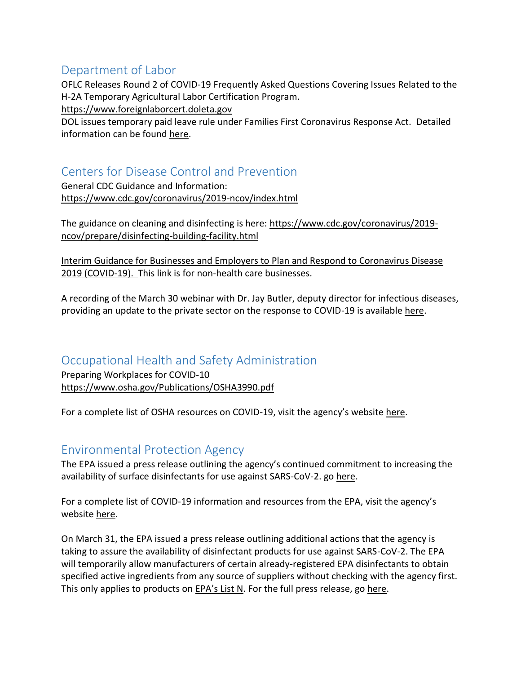### Department of Labor

OFLC Releases Round 2 of COVID-19 Frequently Asked Questions Covering Issues Related to the H-2A Temporary Agricultural Labor Certification Program.

[https://www.foreignlaborcert.doleta.gov](https://www.foreignlaborcert.doleta.gov/)

DOL issues temporary paid leave rule under Families First Coronavirus Response Act. Detailed information can be found [here.](https://www.dol.gov/agencies/whd/ffcra)

## Centers for Disease Control and Prevention

General CDC Guidance and Information: <https://www.cdc.gov/coronavirus/2019-ncov/index.html>

The guidance on cleaning and disinfecting is here: [https://www.cdc.gov/coronavirus/2019](https://www.cdc.gov/coronavirus/2019-ncov/prepare/disinfecting-building-facility.html) [ncov/prepare/disinfecting-building-facility.html](https://www.cdc.gov/coronavirus/2019-ncov/prepare/disinfecting-building-facility.html)

[Interim Guidance for Businesses and Employers to Plan and Respond to Coronavirus Disease](https://www.cdc.gov/coronavirus/2019-ncov/community/guidance-business-response.html)  [2019 \(COVID-19\).](https://www.cdc.gov/coronavirus/2019-ncov/community/guidance-business-response.html) This link is for non-health care businesses.

A recording of the March 30 webinar with Dr. Jay Butler, deputy director for infectious diseases, providing an update to the private sector on the response to COVID-19 is available [here.](https://youtu.be/OdN7NtgV-Bs)

#### Occupational Health and Safety Administration

Preparing Workplaces for COVID-10 <https://www.osha.gov/Publications/OSHA3990.pdf>

For a complete list of OSHA resources on COVID-19, visit the agency's website [here.](https://www.osha.gov/SLTC/covid-19/)

#### Environmental Protection Agency

The EPA issued a press release outlining the agency's continued commitment to increasing the availability of surface disinfectants for use against SARS-CoV-2. go [here.](https://www.epa.gov/newsreleases/epa-continues-add-new-surface-disinfectant-products-list-n-effort-combat-covid-19)

For a complete list of COVID-19 information and resources from the EPA, visit the agency's website [here.](https://www.epa.gov/coronavirus)

On March 31, the EPA issued a press release outlining additional actions that the agency is taking to assure the availability of disinfectant products for use against SARS-CoV-2. The EPA will temporarily allow manufacturers of certain already-registered EPA disinfectants to obtain specified active ingredients from any source of suppliers without checking with the agency first. This only applies to products on [EPA's List N](https://www.epa.gov/pesticide-registration/list-n-disinfectants-use-against-sars-cov-2). For the full press release, g[o here.](https://www.epa.gov/newsreleases/epa-takes-action-assure-availability-disinfectant-products-use-against-novel)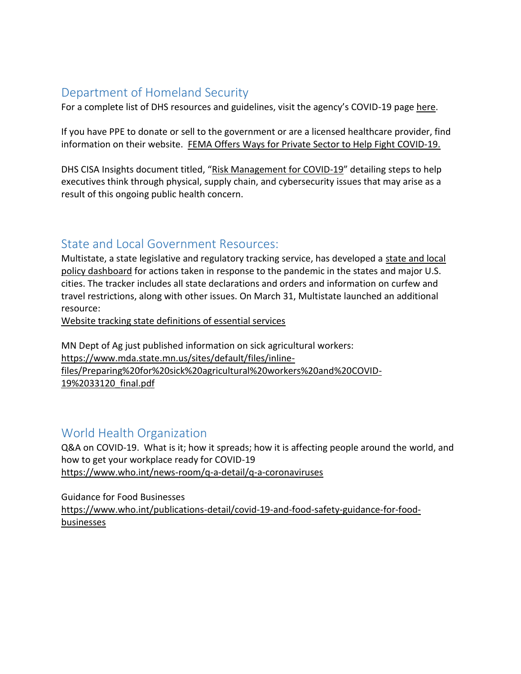## Department of Homeland Security

For a complete list of DHS resources and guidelines, visit the agency's COVID-19 page [here.](https://www.dhs.gov/coronavirus)

If you have PPE to donate or sell to the government or are a licensed healthcare provider, find information on their website. FEMA Offers Ways [for Private Sector to Help Fight COVID-19.](https://www.fema.gov/news-release/2020/03/27/fema-offers-ways-private-sector-help-fight-covid-19)

DHS CISA Insights document titled, "[Risk Management for COVID-19](https://www.cisa.gov/sites/default/files/publications/20_0306_cisa_insights_risk_management_for_novel_coronavirus.pdf)" detailing steps to help executives think through physical, supply chain, and cybersecurity issues that may arise as a result of this ongoing public health concern.

#### State and Local Government Resources:

Multistate, a state legislative and regulatory tracking service, has developed a [state and local](https://docs.google.com/spreadsheets/d/e/2PACX-1vRlJWZJ7OkGUW57_rdA2n3xBJ3qjW6u4Z9N6K9Y5L4bM_6H7-S308qdKmJfpVstYWf300nyujvZPFSy/pubhtml?urp=gmail_link)  [policy dashboard](https://docs.google.com/spreadsheets/d/e/2PACX-1vRlJWZJ7OkGUW57_rdA2n3xBJ3qjW6u4Z9N6K9Y5L4bM_6H7-S308qdKmJfpVstYWf300nyujvZPFSy/pubhtml?urp=gmail_link) for actions taken in response to the pandemic in the states and major U.S. cities. The tracker includes all state declarations and orders and information on curfew and travel restrictions, along with other issues. On March 31, Multistate launched an additional resource:

[Website tracking state definitions of essential services](https://docs.google.com/document/d/e/2PACX-1vSXZCFCbIRiRDRC-SWyc36T0S0hjXxT9wZAGM4V01_xtbywLBEn0o_kgmfs0dMJ4VbpPh30j2ZFZ3TH/pub)

MN Dept of Ag just published information on sick agricultural workers: [https://www.mda.state.mn.us/sites/default/files/inline](https://www.mda.state.mn.us/sites/default/files/inline-files/Preparing%20for%20sick%20agricultural%20workers%20and%20COVID-19%2033120_final.pdf)[files/Preparing%20for%20sick%20agricultural%20workers%20and%20COVID-](https://www.mda.state.mn.us/sites/default/files/inline-files/Preparing%20for%20sick%20agricultural%20workers%20and%20COVID-19%2033120_final.pdf)[19%2033120\\_final.pdf](https://www.mda.state.mn.us/sites/default/files/inline-files/Preparing%20for%20sick%20agricultural%20workers%20and%20COVID-19%2033120_final.pdf)

### World Health Organization

Q&A on COVID-19. What is it; how it spreads; how it is affecting people around the world, and how to get your workplace ready for COVID-19 <https://www.who.int/news-room/q-a-detail/q-a-coronaviruses>

Guidance for Food Businesses

[https://www.who.int/publications-detail/covid-19-and-food-safety-guidance-for-food](https://www.who.int/publications-detail/covid-19-and-food-safety-guidance-for-food-businesses)[businesses](https://www.who.int/publications-detail/covid-19-and-food-safety-guidance-for-food-businesses)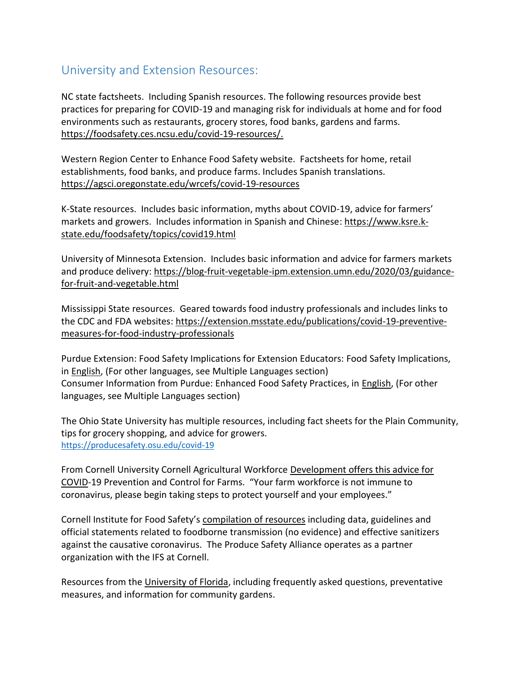### University and Extension Resources:

NC state factsheets. Including Spanish resources. The following resources provide best practices for preparing for COVID-19 and managing risk for individuals at home and for food environments such as restaurants, grocery stores, food banks, gardens and farms. [https://foodsafety.ces.ncsu.edu/covid-19-resources/.](https://foodsafety.ces.ncsu.edu/covid-19-resources/)

Western Region Center to Enhance Food Safety website. Factsheets for home, retail establishments, food banks, and produce farms. Includes Spanish translations. <https://agsci.oregonstate.edu/wrcefs/covid-19-resources>

K-State resources. Includes basic information, myths about COVID-19, advice for farmers' markets and growers. Includes information in Spanish and Chinese: [https://www.ksre.k](https://www.ksre.k-state.edu/foodsafety/topics/covid19.html)[state.edu/foodsafety/topics/covid19.html](https://www.ksre.k-state.edu/foodsafety/topics/covid19.html)

University of Minnesota Extension. Includes basic information and advice for farmers markets and produce delivery: [https://blog-fruit-vegetable-ipm.extension.umn.edu/2020/03/guidance](https://blog-fruit-vegetable-ipm.extension.umn.edu/2020/03/guidance-for-fruit-and-vegetable.html)[for-fruit-and-vegetable.html](https://blog-fruit-vegetable-ipm.extension.umn.edu/2020/03/guidance-for-fruit-and-vegetable.html)

Mississippi State resources. Geared towards food industry professionals and includes links to the CDC and FDA websites: [https://extension.msstate.edu/publications/covid-19-preventive](https://extension.msstate.edu/publications/covid-19-preventive-measures-for-food-industry-professionals)[measures-for-food-industry-professionals](https://extension.msstate.edu/publications/covid-19-preventive-measures-for-food-industry-professionals)

Purdue Extension: Food Safety Implications for Extension Educators: Food Safety Implications, in [English,](https://mdc.itap.purdue.edu/item.asp?Item_Number=FS-37-W) (For other languages, see Multiple Languages section) Consumer Information from Purdue: Enhanced Food Safety Practices, in [English,](https://mdc.itap.purdue.edu/item.asp?Item_Number=FS-36-W) (For other languages, see Multiple Languages section)

The Ohio State University has multiple resources, including fact sheets for the Plain Community, tips for grocery shopping, and advice for growers. <https://producesafety.osu.edu/covid-19>

From Cornell University Cornell Agricultural Workforce [Development offers this advice for](http://agworkforce.cals.cornell.edu/2020/03/12/novel-coronavirus-prevention-control-for-farms/?fbclid=IwAR0i7v2BPEiL9VG-ON0UqvTtdek2ya0c0ZQYHVvqtf0u_8BNwlRPJhdtRqI)  [COVID-](http://agworkforce.cals.cornell.edu/2020/03/12/novel-coronavirus-prevention-control-for-farms/?fbclid=IwAR0i7v2BPEiL9VG-ON0UqvTtdek2ya0c0ZQYHVvqtf0u_8BNwlRPJhdtRqI)19 Prevention and Control for Farms. "Your farm workforce is not immune to coronavirus, please begin taking steps to protect yourself and your employees."

Cornell Institute for Food Safety's [compilation](https://instituteforfoodsafety.cornell.edu/coronavirus-covid-19/) of resources including data, guidelines and official statements related to foodborne transmission (no evidence) and effective sanitizers against the causative coronavirus. The Produce Safety Alliance operates as a partner organization with the IFS at Cornell.

Resources from the [University of Florida,](https://edis.ifas.ufl.edu/topic_covid19) including frequently asked questions, preventative measures, and information for community gardens.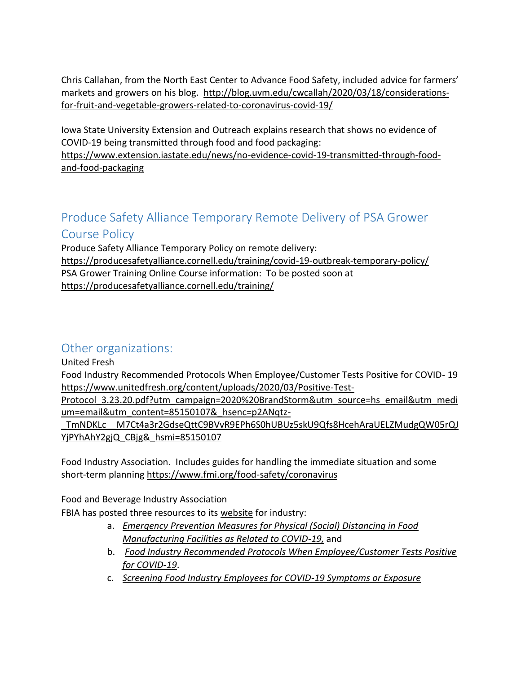Chris Callahan, from the North East Center to Advance Food Safety, included advice for farmers' markets and growers on his blog. [http://blog.uvm.edu/cwcallah/2020/03/18/considerations](http://blog.uvm.edu/cwcallah/2020/03/18/considerations-for-fruit-and-vegetable-growers-related-to-coronavirus-covid-19/)[for-fruit-and-vegetable-growers-related-to-coronavirus-covid-19/](http://blog.uvm.edu/cwcallah/2020/03/18/considerations-for-fruit-and-vegetable-growers-related-to-coronavirus-covid-19/)

Iowa State University Extension and Outreach explains research that shows no evidence of COVID-19 being transmitted through food and food packaging: [https://www.extension.iastate.edu/news/no-evidence-covid-19-transmitted-through-food](https://www.extension.iastate.edu/news/no-evidence-covid-19-transmitted-through-food-and-food-packaging)[and-food-packaging](https://www.extension.iastate.edu/news/no-evidence-covid-19-transmitted-through-food-and-food-packaging)

# Produce Safety Alliance Temporary Remote Delivery of PSA Grower Course Policy

Produce Safety Alliance Temporary Policy on remote delivery: <https://producesafetyalliance.cornell.edu/training/covid-19-outbreak-temporary-policy/> PSA Grower Training Online Course information: To be posted soon at <https://producesafetyalliance.cornell.edu/training/>

# Other organizations:

United Fresh

Food Industry Recommended Protocols When Employee/Customer Tests Positive for COVID- 19 [https://www.unitedfresh.org/content/uploads/2020/03/Positive-Test-](https://www.unitedfresh.org/content/uploads/2020/03/Positive-Test-Protocol_3.23.20.pdf?utm_campaign=2020%20BrandStorm&utm_source=hs_email&utm_medium=email&utm_content=85150107&_hsenc=p2ANqtz-_TmNDKLc__M7Ct4a3r2GdseQttC9BVvR9EPh6S0hUBUz5skU9Qfs8HcehAraUELZMudgQW05rQJYjPYhAhY2gjQ_CBjg&_hsmi=85150107)

Protocol 3.23.20.pdf?utm\_campaign=2020%20BrandStorm&utm\_source=hs\_email&utm\_medi [um=email&utm\\_content=85150107&\\_hsenc=p2ANqtz-](https://www.unitedfresh.org/content/uploads/2020/03/Positive-Test-Protocol_3.23.20.pdf?utm_campaign=2020%20BrandStorm&utm_source=hs_email&utm_medium=email&utm_content=85150107&_hsenc=p2ANqtz-_TmNDKLc__M7Ct4a3r2GdseQttC9BVvR9EPh6S0hUBUz5skU9Qfs8HcehAraUELZMudgQW05rQJYjPYhAhY2gjQ_CBjg&_hsmi=85150107)

[\\_TmNDKLc\\_\\_M7Ct4a3r2GdseQttC9BVvR9EPh6S0hUBUz5skU9Qfs8HcehAraUELZMudgQW05rQJ](https://www.unitedfresh.org/content/uploads/2020/03/Positive-Test-Protocol_3.23.20.pdf?utm_campaign=2020%20BrandStorm&utm_source=hs_email&utm_medium=email&utm_content=85150107&_hsenc=p2ANqtz-_TmNDKLc__M7Ct4a3r2GdseQttC9BVvR9EPh6S0hUBUz5skU9Qfs8HcehAraUELZMudgQW05rQJYjPYhAhY2gjQ_CBjg&_hsmi=85150107) [YjPYhAhY2gjQ\\_CBjg&\\_hsmi=85150107](https://www.unitedfresh.org/content/uploads/2020/03/Positive-Test-Protocol_3.23.20.pdf?utm_campaign=2020%20BrandStorm&utm_source=hs_email&utm_medium=email&utm_content=85150107&_hsenc=p2ANqtz-_TmNDKLc__M7Ct4a3r2GdseQttC9BVvR9EPh6S0hUBUz5skU9Qfs8HcehAraUELZMudgQW05rQJYjPYhAhY2gjQ_CBjg&_hsmi=85150107)

Food Industry Association. Includes guides for handling the immediate situation and some short-term planning <https://www.fmi.org/food-safety/coronavirus>

Food and Beverage Industry Association

FBIA has posted three resources to its [website](https://www.feedingus.org/) for industry:

- a. *[Emergency Prevention Measures for Physical \(Social\) Distancing in Food](https://static1.squarespace.com/static/5e7d1107dac60a6b3e3f098d/t/5e8521e367274c1aea318965/1585783267808/2020-03-31+Emergency+Prevention+Measures+to+Achieve+Physical+%28Social%29+Distancing+in+Food+Manufacturing+Facilities+as+Related+to+COVID-19.pdf)  [Manufacturing Facilities as Related to COVID-19,](https://static1.squarespace.com/static/5e7d1107dac60a6b3e3f098d/t/5e8521e367274c1aea318965/1585783267808/2020-03-31+Emergency+Prevention+Measures+to+Achieve+Physical+%28Social%29+Distancing+in+Food+Manufacturing+Facilities+as+Related+to+COVID-19.pdf)* and
- b. *[Food Industry Recommended Protocols When Employee/Customer Tests Positive](https://static1.squarespace.com/static/5e7d1107dac60a6b3e3f098d/t/5e851fde29f7892bc04e02a5/1585782751824/FBIA+COVID19%2BCase+Recommended+Protocols_1April20+Version+4.pdf)  [for COVID-19](https://static1.squarespace.com/static/5e7d1107dac60a6b3e3f098d/t/5e851fde29f7892bc04e02a5/1585782751824/FBIA+COVID19%2BCase+Recommended+Protocols_1April20+Version+4.pdf)*.
- c. *[Screening Food Industry Employees for COVID-19 Symptoms or Exposure](https://static1.squarespace.com/static/5e7d1107dac60a6b3e3f098d/t/5e87363778809401b00ff99f/1585919544175/Employee+Screening+-+20200330_draft+final+%28002%29_SIGNED.pdf)*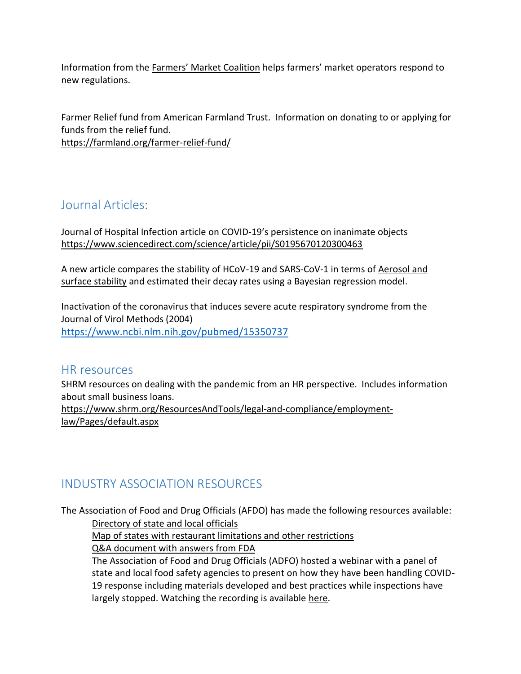Information from the Farmers' [Market Coalition](https://farmersmarketcoalition.org/farmers-markets-covid19/) helps farmers' market operators respond to new regulations.

Farmer Relief fund from American Farmland Trust. Information on donating to or applying for funds from the relief fund. <https://farmland.org/farmer-relief-fund/>

Journal Articles:

Journal of Hospital Infection article on COVID-19's persistence on inanimate objects <https://www.sciencedirect.com/science/article/pii/S0195670120300463>

A new article compares the stability of HCoV-19 and SARS-CoV-1 in terms of [Aerosol and](https://www.medrxiv.org/content/10.1101/2020.03.09.20033217v2)  [surface stability](https://www.medrxiv.org/content/10.1101/2020.03.09.20033217v2) and estimated their decay rates using a Bayesian regression model.

Inactivation of the coronavirus that induces severe acute respiratory syndrome from the Journal of Virol Methods (2004) <https://www.ncbi.nlm.nih.gov/pubmed/15350737>

#### HR resources

SHRM resources on dealing with the pandemic from an HR perspective. Includes information about small business loans. [https://www.shrm.org/ResourcesAndTools/legal-and-compliance/employment](https://www.shrm.org/ResourcesAndTools/legal-and-compliance/employment-law/Pages/default.aspx)[law/Pages/default.aspx](https://www.shrm.org/ResourcesAndTools/legal-and-compliance/employment-law/Pages/default.aspx)

# INDUSTRY ASSOCIATION RESOURCES

The Association of Food and Drug Officials (AFDO) has made the following resources available: [Directory of state and local officials](http://dslo.afdo.org/)

[Map of states with restaurant limitations and other restrictions](http://www.afdo.org/coronavirus-resources)

[Q&A document with answers from FDA](http://www.afdo.org/resources/Documents/COVID19/The%20FDA%20Releases%20Answers%20to%20Questions%20That%20Have%20Been%20Pending%203.30.20.pdf)

The Association of Food and Drug Officials (ADFO) hosted a webinar with a panel of state and local food safety agencies to present on how they have been handling COVID-19 response including materials developed and best practices while inspections have largely stopped. Watching the recording is available [here.](https://register.gotowebinar.com/register/6947829774903820558)